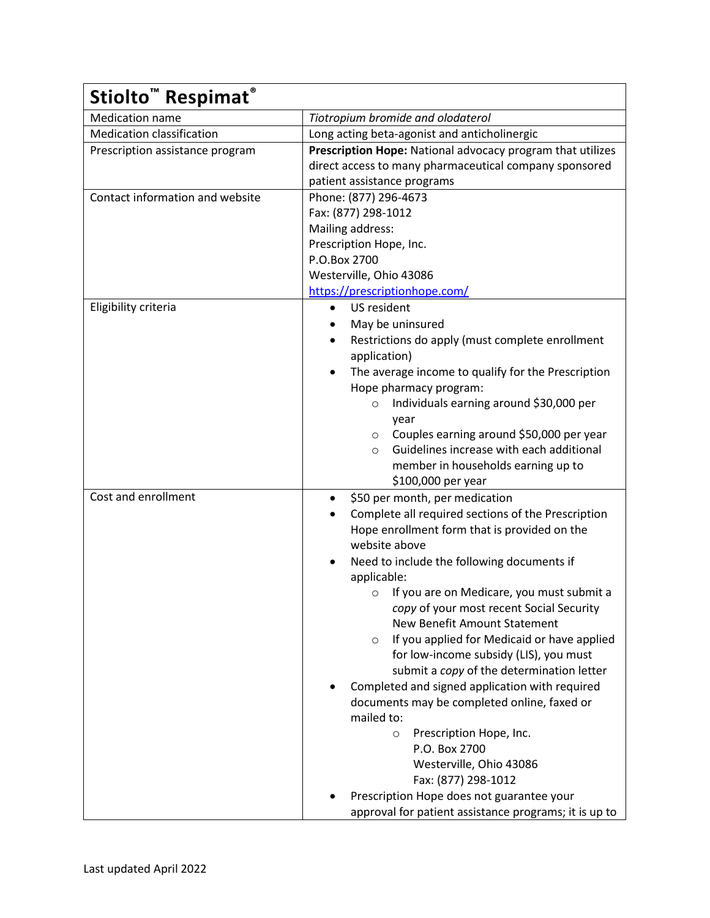| Stiolto <sup>™</sup> Respimat®   |                                                                 |  |
|----------------------------------|-----------------------------------------------------------------|--|
| <b>Medication name</b>           | Tiotropium bromide and olodaterol                               |  |
| <b>Medication classification</b> | Long acting beta-agonist and anticholinergic                    |  |
| Prescription assistance program  | Prescription Hope: National advocacy program that utilizes      |  |
|                                  | direct access to many pharmaceutical company sponsored          |  |
|                                  | patient assistance programs                                     |  |
| Contact information and website  | Phone: (877) 296-4673                                           |  |
|                                  | Fax: (877) 298-1012                                             |  |
|                                  | Mailing address:                                                |  |
|                                  | Prescription Hope, Inc.                                         |  |
|                                  | P.O.Box 2700                                                    |  |
|                                  | Westerville, Ohio 43086                                         |  |
|                                  | https://prescriptionhope.com/                                   |  |
| Eligibility criteria             | US resident<br>$\bullet$                                        |  |
|                                  | May be uninsured                                                |  |
|                                  | Restrictions do apply (must complete enrollment                 |  |
|                                  | application)                                                    |  |
|                                  | The average income to qualify for the Prescription<br>$\bullet$ |  |
|                                  | Hope pharmacy program:                                          |  |
|                                  | Individuals earning around \$30,000 per<br>$\circ$              |  |
|                                  | year                                                            |  |
|                                  | Couples earning around \$50,000 per year<br>$\circ$             |  |
|                                  | Guidelines increase with each additional<br>$\circ$             |  |
|                                  | member in households earning up to                              |  |
|                                  | \$100,000 per year                                              |  |
| Cost and enrollment              | \$50 per month, per medication<br>$\bullet$                     |  |
|                                  | Complete all required sections of the Prescription              |  |
|                                  | Hope enrollment form that is provided on the                    |  |
|                                  | website above                                                   |  |
|                                  | Need to include the following documents if                      |  |
|                                  | applicable:                                                     |  |
|                                  | If you are on Medicare, you must submit a<br>$\circ$            |  |
|                                  | copy of your most recent Social Security                        |  |
|                                  | New Benefit Amount Statement                                    |  |
|                                  | If you applied for Medicaid or have applied<br>$\circ$          |  |
|                                  | for low-income subsidy (LIS), you must                          |  |
|                                  | submit a copy of the determination letter                       |  |
|                                  | Completed and signed application with required                  |  |
|                                  | documents may be completed online, faxed or                     |  |
|                                  | mailed to:                                                      |  |
|                                  | Prescription Hope, Inc.<br>$\circ$                              |  |
|                                  | P.O. Box 2700                                                   |  |
|                                  | Westerville, Ohio 43086                                         |  |
|                                  | Fax: (877) 298-1012                                             |  |
|                                  | Prescription Hope does not guarantee your                       |  |
|                                  | approval for patient assistance programs; it is up to           |  |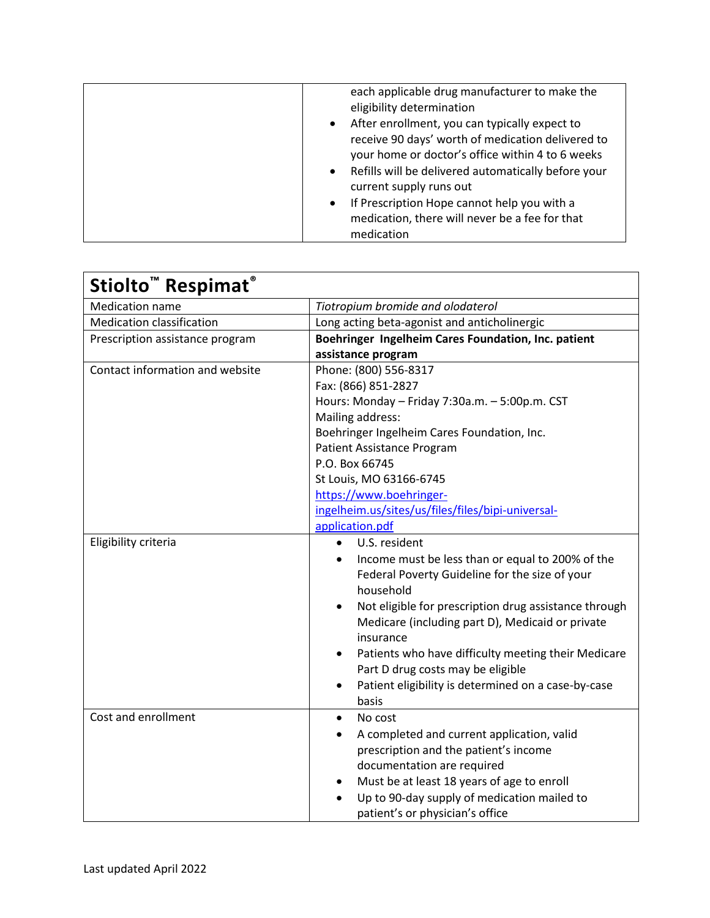|  | each applicable drug manufacturer to make the<br>eligibility determination<br>After enrollment, you can typically expect to<br>$\bullet$<br>receive 90 days' worth of medication delivered to<br>your home or doctor's office within 4 to 6 weeks<br>Refills will be delivered automatically before your<br>$\bullet$<br>current supply runs out<br>If Prescription Hope cannot help you with a<br>$\bullet$<br>medication, there will never be a fee for that<br>medication |
|--|------------------------------------------------------------------------------------------------------------------------------------------------------------------------------------------------------------------------------------------------------------------------------------------------------------------------------------------------------------------------------------------------------------------------------------------------------------------------------|
|--|------------------------------------------------------------------------------------------------------------------------------------------------------------------------------------------------------------------------------------------------------------------------------------------------------------------------------------------------------------------------------------------------------------------------------------------------------------------------------|

| Stiolto <sup>™</sup> Respimat®   |                                                                                                                                     |
|----------------------------------|-------------------------------------------------------------------------------------------------------------------------------------|
| <b>Medication name</b>           | Tiotropium bromide and olodaterol                                                                                                   |
| <b>Medication classification</b> | Long acting beta-agonist and anticholinergic                                                                                        |
| Prescription assistance program  | Boehringer Ingelheim Cares Foundation, Inc. patient                                                                                 |
|                                  | assistance program                                                                                                                  |
| Contact information and website  | Phone: (800) 556-8317<br>Fax: (866) 851-2827                                                                                        |
|                                  | Hours: Monday - Friday 7:30a.m. - 5:00p.m. CST                                                                                      |
|                                  | Mailing address:                                                                                                                    |
|                                  | Boehringer Ingelheim Cares Foundation, Inc.                                                                                         |
|                                  | Patient Assistance Program                                                                                                          |
|                                  | P.O. Box 66745                                                                                                                      |
|                                  | St Louis, MO 63166-6745                                                                                                             |
|                                  | https://www.boehringer-                                                                                                             |
|                                  | ingelheim.us/sites/us/files/files/bipi-universal-                                                                                   |
|                                  | application.pdf                                                                                                                     |
| Eligibility criteria             | U.S. resident<br>$\bullet$                                                                                                          |
|                                  | Income must be less than or equal to 200% of the<br>$\bullet$<br>Federal Poverty Guideline for the size of your<br>household        |
|                                  | Not eligible for prescription drug assistance through<br>$\bullet$<br>Medicare (including part D), Medicaid or private<br>insurance |
|                                  | Patients who have difficulty meeting their Medicare<br>Part D drug costs may be eligible                                            |
|                                  | Patient eligibility is determined on a case-by-case<br>$\bullet$<br>basis                                                           |
| Cost and enrollment              | No cost<br>$\bullet$                                                                                                                |
|                                  | A completed and current application, valid                                                                                          |
|                                  | prescription and the patient's income                                                                                               |
|                                  | documentation are required                                                                                                          |
|                                  | Must be at least 18 years of age to enroll                                                                                          |
|                                  | Up to 90-day supply of medication mailed to                                                                                         |
|                                  | patient's or physician's office                                                                                                     |